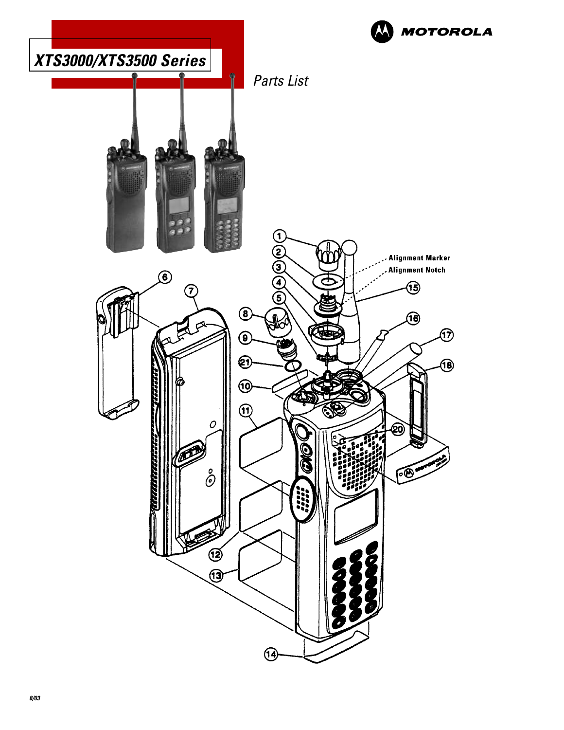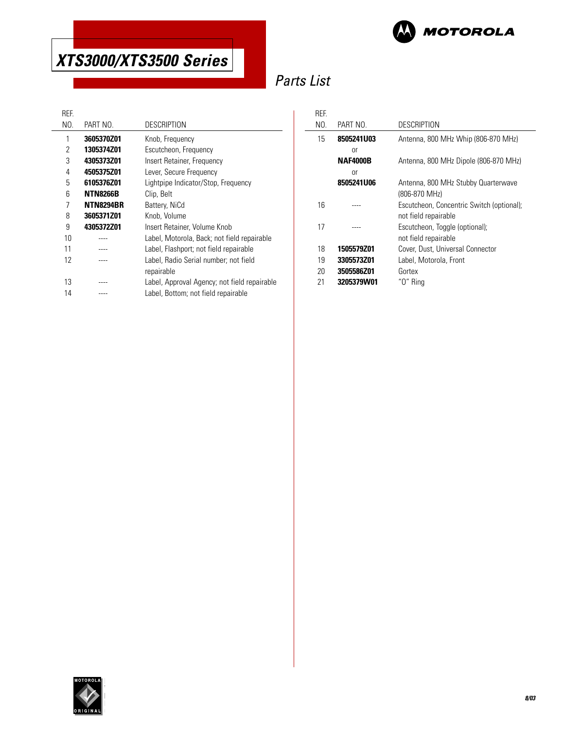

# Parts List

 $\frac{1}{2}$ 

| KEF. |                   |                                              |
|------|-------------------|----------------------------------------------|
| NO.  | PART NO.          | <b>DESCRIPTION</b>                           |
| 1    | 3605370Z01        | Knob, Frequency                              |
| 2    | <b>1305374Z01</b> | Escutcheon, Frequency                        |
| 3    | 4305373Z01        | Insert Retainer, Frequency                   |
| 4    | 4505375Z01        | Lever, Secure Frequency                      |
| 5    | 6105376Z01        | Lightpipe Indicator/Stop, Frequency          |
| 6    | <b>NTN8266B</b>   | Clip, Belt                                   |
| 7    | <b>NTN8294BR</b>  | Battery, NiCd                                |
| 8    | 3605371Z01        | Knob, Volume                                 |
| 9    | 4305372Z01        | Insert Retainer, Volume Knob                 |
| 10   |                   | Label, Motorola, Back; not field repairable  |
| 11   |                   | Label, Flashport; not field repairable       |
| 12   |                   | Label, Radio Serial number; not field        |
|      |                   | repairable                                   |
| 13   |                   | Label, Approval Agency; not field repairable |
| 14   |                   | Label, Bottom; not field repairable          |
|      |                   |                                              |

| RFF |                 |                                           |
|-----|-----------------|-------------------------------------------|
| NO. | PART NO.        | DESCRIPTION                               |
| 15  | 8505241U03      | Antenna, 800 MHz Whip (806-870 MHz)       |
|     | or              |                                           |
|     | <b>NAF4000B</b> | Antenna, 800 MHz Dipole (806-870 MHz)     |
|     | or              |                                           |
|     | 8505241U06      | Antenna, 800 MHz Stubby Quarterwave       |
|     |                 | (806-870 MHz)                             |
| 16  |                 | Escutcheon, Concentric Switch (optional); |
|     |                 | not field repairable                      |
| 17  |                 | Escutcheon, Toggle (optional);            |
|     |                 | not field repairable                      |
| 18  | 1505579Z01      | Cover, Dust, Universal Connector          |
| 19  | 3305573Z01      | Label, Motorola, Front                    |
| 20  | 3505586Z01      | Gortex                                    |
| 21  | 3205379W01      | "O" Rina                                  |

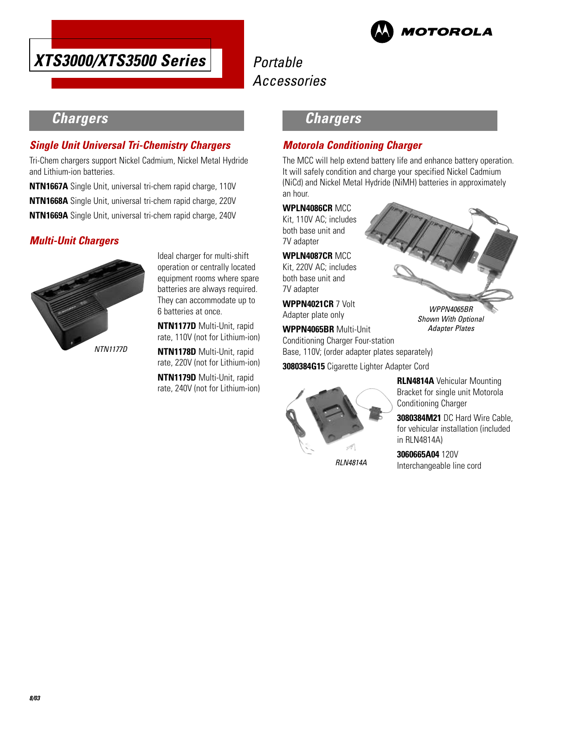



## **Chargers**

#### **Single Unit Universal Tri-Chemistry Chargers**

Tri-Chem chargers support Nickel Cadmium, Nickel Metal Hydride and Lithium-ion batteries.

**NTN1667A** Single Unit, universal tri-chem rapid charge, 110V **NTN1668A** Single Unit, universal tri-chem rapid charge, 220V **NTN1669A** Single Unit, universal tri-chem rapid charge, 240V

#### **Multi-Unit Chargers**



Ideal charger for multi-shift operation or centrally located equipment rooms where spare batteries are always required. They can accommodate up to 6 batteries at once.

**NTN1177D** Multi-Unit, rapid rate, 110V (not for Lithium-ion)

**NTN1178D** Multi-Unit, rapid rate, 220V (not for Lithium-ion)

**NTN1179D** Multi-Unit, rapid rate, 240V (not for Lithium-ion)

## **Chargers**

### **Motorola Conditioning Charger**

The MCC will help extend battery life and enhance battery operation. It will safely condition and charge your specified Nickel Cadmium (NiCd) and Nickel Metal Hydride (NiMH) batteries in approximately an hour.

#### **WPLN4086CR** MCC

Kit, 110V AC; includes both base unit and 7V adapter

**WPLN4087CR** MCC

Kit, 220V AC; includes both base unit and 7V adapter

**WPPN4021CR** 7 Volt Adapter plate only

**WPPN4065BR** Multi-Unit Conditioning Charger Four-station Base, 110V; (order adapter plates separately)

**3080384G15** Cigarette Lighter Adapter Cord



**RLN4814A** Vehicular Mounting Bracket for single unit Motorola Conditioning Charger

WPPN4065BR Shown With Optional Adapter Plates

**3080384M21** DC Hard Wire Cable, for vehicular installation (included in RLN4814A)

RLN4814A

**3060665A04** 120V Interchangeable line cord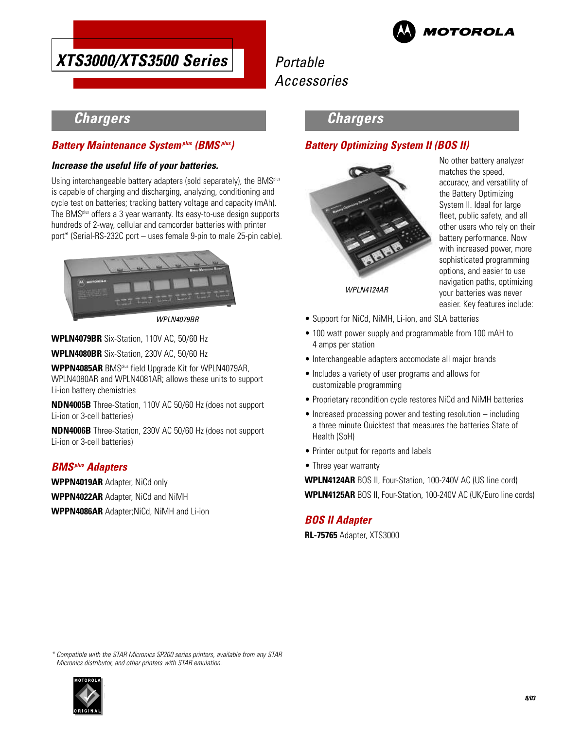

# Portable Accessories

# **Chargers**

#### **Battery Maintenance Systemplus (BMSplus)**

#### **Increase the useful life of your batteries.**

Using interchangeable battery adapters (sold separately), the BMS<sup>plus</sup> is capable of charging and discharging, analyzing, conditioning and cycle test on batteries; tracking battery voltage and capacity (mAh). The BMSplus offers a 3 year warranty. Its easy-to-use design supports hundreds of 2-way, cellular and camcorder batteries with printer port\* (Serial-RS-232C port – uses female 9-pin to male 25-pin cable).



WPLN4079BR

**WPLN4079BR** Six-Station, 110V AC, 50/60 Hz

**WPLN4080BR** Six-Station, 230V AC, 50/60 Hz

**WPPN4085AR** BMSplus field Upgrade Kit for WPLN4079AR, WPLN4080AR and WPLN4081AR; allows these units to support Li-ion battery chemistries

**NDN4005B** Three-Station, 110V AC 50/60 Hz (does not support Li-ion or 3-cell batteries)

**NDN4006B** Three-Station, 230V AC 50/60 Hz (does not support Li-ion or 3-cell batteries)

### **BMSplus Adapters**

**WPPN4019AR** Adapter, NiCd only **WPPN4022AR** Adapter, NiCd and NiMH **WPPN4086AR** Adapter;NiCd, NiMH and Li-ion

### **Chargers**

### **Battery Optimizing System II (BOS II)**



No other battery analyzer matches the speed, accuracy, and versatility of the Battery Optimizing System II. Ideal for large fleet, public safety, and all other users who rely on their battery performance. Now with increased power, more sophisticated programming options, and easier to use navigation paths, optimizing your batteries was never easier. Key features include:

WPLN4124AR

- Support for NiCd, NiMH, Li-ion, and SLA batteries
- 100 watt power supply and programmable from 100 mAH to 4 amps per station
- Interchangeable adapters accomodate all major brands
- Includes a variety of user programs and allows for customizable programming
- Proprietary recondition cycle restores NiCd and NiMH batteries
- Increased processing power and testing resolution including a three minute Quicktest that measures the batteries State of Health (SoH)
- Printer output for reports and labels
- Three year warranty

**WPLN4124AR** BOS II, Four-Station, 100-240V AC (US line cord) **WPLN4125AR** BOS II, Four-Station, 100-240V AC (UK/Euro line cords)

### **BOS II Adapter**

**RL-75765** Adapter, XTS3000

\* Compatible with the STAR Micronics SP200 series printers, available from any STAR Micronics distributor, and other printers with STAR emulation.

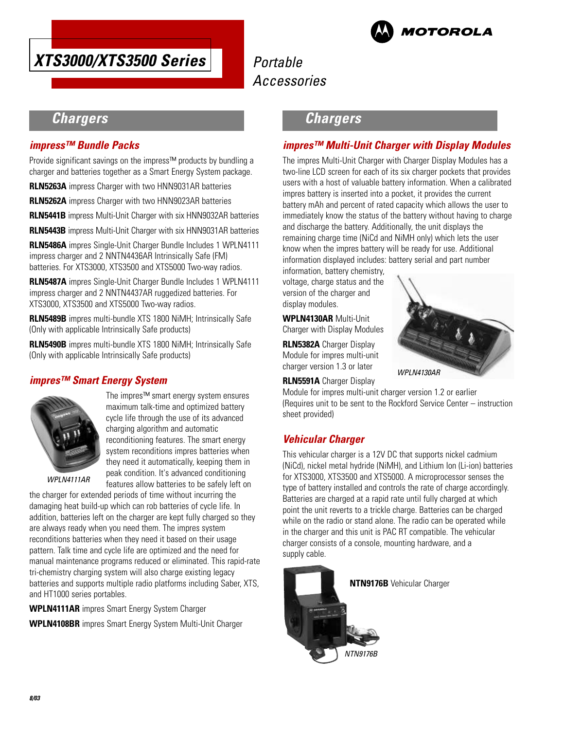



## **Chargers**

#### **impress™ Bundle Packs**

Provide significant savings on the impress™ products by bundling a charger and batteries together as a Smart Energy System package.

**RLN5263A** impress Charger with two HNN9031AR batteries

**RLN5262A** impress Charger with two HNN9023AR batteries

**RLN5441B** impress Multi-Unit Charger with six HNN9032AR batteries

**RLN5443B** impress Multi-Unit Charger with six HNN9031AR batteries

**RLN5486A** impres Single-Unit Charger Bundle Includes 1 WPLN4111 impress charger and 2 NNTN4436AR Intrinsically Safe (FM) batteries. For XTS3000, XTS3500 and XTS5000 Two-way radios.

**RLN5487A** impres Single-Unit Charger Bundle Includes 1 WPLN4111 impress charger and 2 NNTN4437AR ruggedized batteries. For XTS3000, XTS3500 and XTS5000 Two-way radios.

**RLN5489B** impres multi-bundle XTS 1800 NiMH; Intrinsically Safe (Only with applicable Intrinsically Safe products)

**RLN5490B** impres multi-bundle XTS 1800 NiMH; Intrinsically Safe (Only with applicable Intrinsically Safe products)

#### **impres™ Smart Energy System**



The impres™ smart energy system ensures maximum talk-time and optimized battery cycle life through the use of its advanced charging algorithm and automatic reconditioning features. The smart energy system reconditions impres batteries when they need it automatically, keeping them in peak condition. It's advanced conditioning features allow batteries to be safely left on

WPLN4111AR

the charger for extended periods of time without incurring the damaging heat build-up which can rob batteries of cycle life. In addition, batteries left on the charger are kept fully charged so they are always ready when you need them. The impres system reconditions batteries when they need it based on their usage pattern. Talk time and cycle life are optimized and the need for manual maintenance programs reduced or eliminated. This rapid-rate tri-chemistry charging system will also charge existing legacy batteries and supports multiple radio platforms including Saber, XTS, and HT1000 series portables.

**WPLN4111AR** impres Smart Energy System Charger **WPLN4108BR** impres Smart Energy System Multi-Unit Charger

## **Chargers**

#### **impres™ Multi-Unit Charger with Display Modules**

The impres Multi-Unit Charger with Charger Display Modules has a two-line LCD screen for each of its six charger pockets that provides users with a host of valuable battery information. When a calibrated impres battery is inserted into a pocket, it provides the current battery mAh and percent of rated capacity which allows the user to immediately know the status of the battery without having to charge and discharge the battery. Additionally, the unit displays the remaining charge time (NiCd and NiMH only) which lets the user know when the impres battery will be ready for use. Additional information displayed includes: battery serial and part number

information, battery chemistry, voltage, charge status and the version of the charger and display modules.

**WPLN4130AR** Multi-Unit Charger with Display Modules

**RLN5382A** Charger Display Module for impres multi-unit charger version 1.3 or later



**RLN5591A** Charger Display Module for impres multi-unit charger version 1.2 or earlier (Requires unit to be sent to the Rockford Service Center – instruction

### **Vehicular Charger**

sheet provided)

This vehicular charger is a 12V DC that supports nickel cadmium (NiCd), nickel metal hydride (NiMH), and Lithium Ion (Li-ion) batteries for XTS3000, XTS3500 and XTS5000. A microprocessor senses the type of battery installed and controls the rate of charge accordingly. Batteries are charged at a rapid rate until fully charged at which point the unit reverts to a trickle charge. Batteries can be charged while on the radio or stand alone. The radio can be operated while in the charger and this unit is PAC RT compatible. The vehicular charger consists of a console, mounting hardware, and a supply cable.

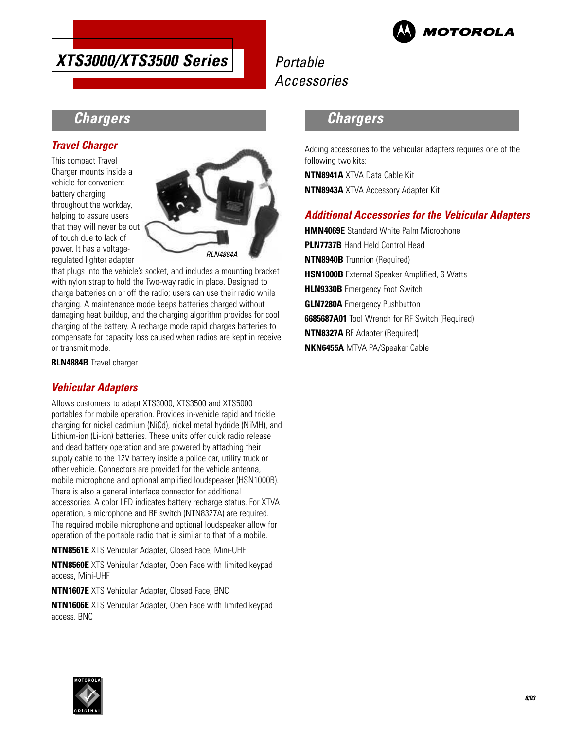

# Portable Accessories

## **Chargers**

#### **Travel Charger**

This compact Travel Charger mounts inside a vehicle for convenient battery charging throughout the workday, helping to assure users that they will never be out of touch due to lack of power. It has a voltageregulated lighter adapter



that plugs into the vehicle's socket, and includes a mounting bracket with nylon strap to hold the Two-way radio in place. Designed to charge batteries on or off the radio; users can use their radio while charging. A maintenance mode keeps batteries charged without damaging heat buildup, and the charging algorithm provides for cool charging of the battery. A recharge mode rapid charges batteries to compensate for capacity loss caused when radios are kept in receive or transmit mode.

**RLN4884B** Travel charger

#### **Vehicular Adapters**

Allows customers to adapt XTS3000, XTS3500 and XTS5000 portables for mobile operation. Provides in-vehicle rapid and trickle charging for nickel cadmium (NiCd), nickel metal hydride (NiMH), and Lithium-ion (Li-ion) batteries. These units offer quick radio release and dead battery operation and are powered by attaching their supply cable to the 12V battery inside a police car, utility truck or other vehicle. Connectors are provided for the vehicle antenna, mobile microphone and optional amplified loudspeaker (HSN1000B). There is also a general interface connector for additional accessories. A color LED indicates battery recharge status. For XTVA operation, a microphone and RF switch (NTN8327A) are required. The required mobile microphone and optional loudspeaker allow for operation of the portable radio that is similar to that of a mobile.

**NTN8561E** XTS Vehicular Adapter, Closed Face, Mini-UHF

**NTN8560E** XTS Vehicular Adapter, Open Face with limited keypad access, Mini-UHF

**NTN1607E** XTS Vehicular Adapter, Closed Face, BNC

**NTN1606E** XTS Vehicular Adapter, Open Face with limited keypad access, BNC

### **Chargers**

Adding accessories to the vehicular adapters requires one of the following two kits:

**NTN8941A** XTVA Data Cable Kit **NTN8943A** XTVA Accessory Adapter Kit

#### **Additional Accessories for the Vehicular Adapters**

**HMN4069E** Standard White Palm Microphone **PLN7737B** Hand Held Control Head **NTN8940B** Trunnion (Required) **HSN1000B** External Speaker Amplified, 6 Watts **HLN9330B** Emergency Foot Switch **GLN7280A** Emergency Pushbutton **6685687A01** Tool Wrench for RF Switch (Required) **NTN8327A** RF Adapter (Required) **NKN6455A** MTVA PA/Speaker Cable

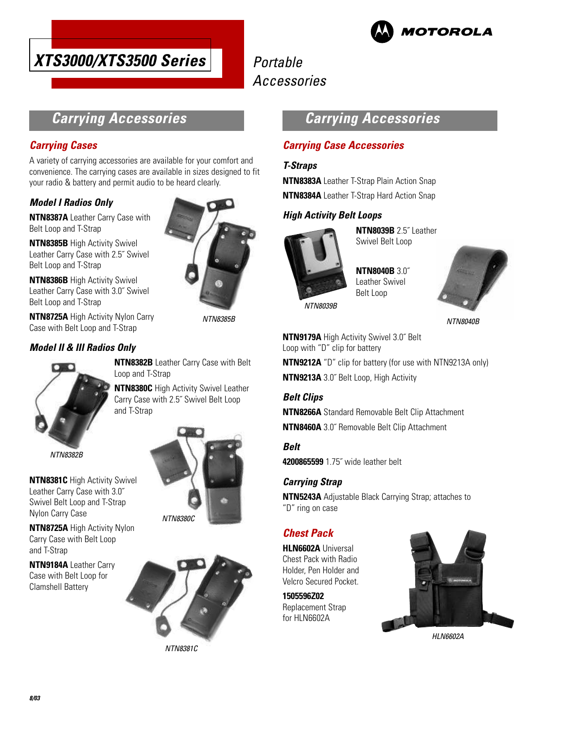



## **Carrying Accessories**

#### **Carrying Cases**

A variety of carrying accessories are available for your comfort and convenience. The carrying cases are available in sizes designed to fit your radio & battery and permit audio to be heard clearly.

#### **Model I Radios Only**

**NTN8387A** Leather Carry Case with Belt Loop and T-Strap

**NTN8385B** High Activity Swivel Leather Carry Case with 2.5˝ Swivel Belt Loop and T-Strap

**NTN8386B** High Activity Swivel Leather Carry Case with 3.0˝ Swivel Belt Loop and T-Strap

**NTN8725A** High Activity Nylon Carry Case with Belt Loop and T-Strap

#### **Model II & III Radios Only**



**NTN8382B** Leather Carry Case with Belt Loop and T-Strap

NTN8385B

**NTN8380C** High Activity Swivel Leather Carry Case with 2.5˝ Swivel Belt Loop and T-Strap

NTN8382B

**NTN8381C** High Activity Swivel Leather Carry Case with 3.0˝ Swivel Belt Loop and T-Strap Nylon Carry Case

**NTN8725A** High Activity Nylon Carry Case with Belt Loop and T-Strap

**NTN9184A** Leather Carry Case with Belt Loop for Clamshell Battery



NTN8381C



#### **Carrying Case Accessories**

#### **T-Straps**

**NTN8383A** Leather T-Strap Plain Action Snap **NTN8384A** Leather T-Strap Hard Action Snap

### **High Activity Belt Loops**



**NTN8039B** 2.5˝ Leather Swivel Belt Loop

**NTN8040B** 3.0˝ Leather Swivel Belt Loop



NTN8040B

**NTN9179A** High Activity Swivel 3.0˝ Belt Loop with "D" clip for battery

**NTN9212A** "D" clip for battery (for use with NTN9213A only) **NTN9213A** 3.0˝ Belt Loop, High Activity

#### **Belt Clips**

**NTN8266A** Standard Removable Belt Clip Attachment **NTN8460A** 3.0˝ Removable Belt Clip Attachment

**Belt 4200865599** 1.75˝ wide leather belt

#### **Carrying Strap**

**NTN5243A** Adjustable Black Carrying Strap; attaches to "D" ring on case

## **Chest Pack**

**HLN6602A** Universal Chest Pack with Radio Holder, Pen Holder and Velcro Secured Pocket.

**1505596Z02** Replacement Strap for HLN6602A



HI N6602A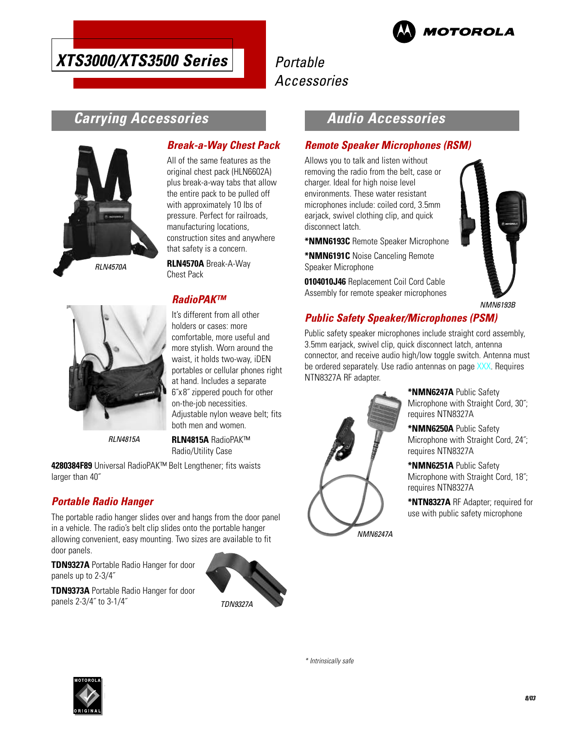

# Portable Accessories

## **Carrying Accessories**



#### **Break-a-Way Chest Pack**

All of the same features as the original chest pack (HLN6602A) plus break-a-way tabs that allow the entire pack to be pulled off with approximately 10 lbs of pressure. Perfect for railroads, manufacturing locations, construction sites and anywhere that safety is a concern.

**RLN4570A** Break-A-Way Chest Pack

## **RadioPAK™**



It's different from all other holders or cases: more comfortable, more useful and more stylish. Worn around the waist, it holds two-way, iDEN portables or cellular phones right at hand. Includes a separate 6˝x 8˝ zippered pouch for other on-the-job necessities. Adjustable nylon weave belt; fits both men and women.

RLN4815A

**RLN4815A** RadioPAK™ Radio/Utility Case

**4280384F89** Universal RadioPAK™ Belt Lengthener; fits waists larger than 40˝

### **Portable Radio Hanger**

The portable radio hanger slides over and hangs from the door panel in a vehicle. The radio's belt clip slides onto the portable hanger allowing convenient, easy mounting. Two sizes are available to fit door panels.

**TDN9327A** Portable Radio Hanger for door panels up to 2-3/4˝

**TDN9373A** Portable Radio Hanger for door panels 2-3/4˝ to 3-1/4˝



TDN9327A

## **Audio Accessories**

#### **Remote Speaker Microphones (RSM)**

Allows you to talk and listen without removing the radio from the belt, case or charger. Ideal for high noise level environments. These water resistant microphones include: coiled cord, 3.5mm earjack, swivel clothing clip, and quick disconnect latch.

**\*NMN6193C** Remote Speaker Microphone

**\*NMN6191C** Noise Canceling Remote Speaker Microphone

**0104010J46** Replacement Coil Cord Cable Assembly for remote speaker microphones



NMN6193B

### **Public Safety Speaker/Microphones (PSM)**

Public safety speaker microphones include straight cord assembly, 3.5mm earjack, swivel clip, quick disconnect latch, antenna connector, and receive audio high/low toggle switch. Antenna must be ordered separately. Use radio antennas on page XXX. Requires NTN8327A RF adapter.



**\*NMN6247A** Public Safety Microphone with Straight Cord, 30˝; requires NTN8327A

**\*NMN6250A** Public Safety Microphone with Straight Cord, 24˝; requires NTN8327A

**\*NMN6251A** Public Safety Microphone with Straight Cord, 18˝; requires NTN8327A

**\*NTN8327A** RF Adapter; required for use with public safety microphone

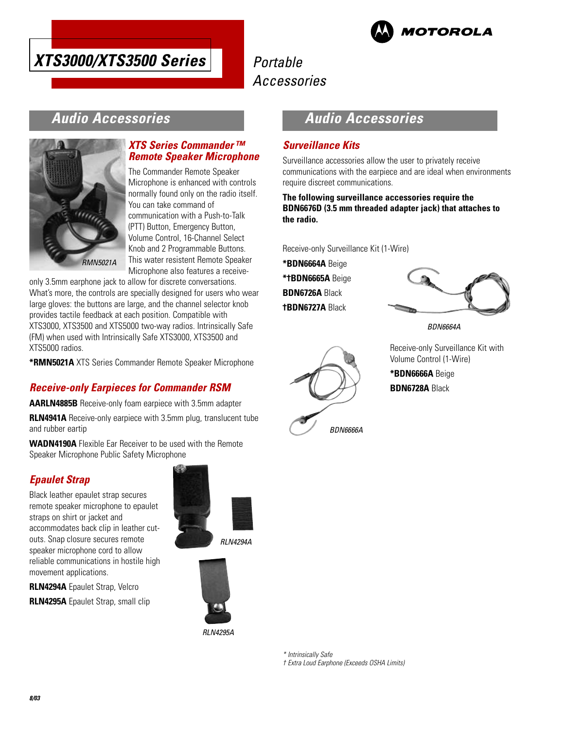



## **Audio Accessories**



#### **XTS Series Commander ™ Remote Speaker Microphone**

The Commander Remote Speaker Microphone is enhanced with controls normally found only on the radio itself. You can take command of communication with a Push-to-Talk (PTT) Button, Emergency Button, Volume Control, 16-Channel Select Knob and 2 Programmable Buttons. This water resistent Remote Speaker Microphone also features a receive-

only 3.5mm earphone jack to allow for discrete conversations. What's more, the controls are specially designed for users who wear large gloves: the buttons are large, and the channel selector knob provides tactile feedback at each position. Compatible with XTS3000, XTS3500 and XTS5000 two-way radios. Intrinsically Safe (FM) when used with Intrinsically Safe XTS3000, XTS3500 and XTS5000 radios.

**\*RMN5021A** XTS Series Commander Remote Speaker Microphone

### **Receive-only Earpieces for Commander RSM**

**AARLN4885B** Receive-only foam earpiece with 3.5mm adapter

**RLN4941A** Receive-only earpiece with 3.5mm plug, translucent tube and rubber eartip

**WADN4190A** Flexible Ear Receiver to be used with the Remote Speaker Microphone Public Safety Microphone

## **Epaulet Strap**

Black leather epaulet strap secures remote speaker microphone to epaulet straps on shirt or jacket and accommodates back clip in leather cutouts. Snap closure secures remote speaker microphone cord to allow reliable communications in hostile high movement applications.

**RLN4294A** Epaulet Strap, Velcro **RLN4295A** Epaulet Strap, small clip RLN4294A



RLN4295A

## **Audio Accessories**

#### **Surveillance Kits**

Surveillance accessories allow the user to privately receive communications with the earpiece and are ideal when environments require discreet communications.

**The following surveillance accessories require the BDN6676D (3.5 mm threaded adapter jack) that attaches to the radio.**

Receive-only Surveillance Kit (1-Wire)

BDN6666A

**\*BDN6664A** Beige **\*†BDN6665A** Beige

**BDN6726A** Black

**†BDN6727A** Black



BDN6664A

Receive-only Surveillance Kit with Volume Control (1-Wire) **\*BDN6666A** Beige

**BDN6728A** Black

\* Intrinsically Safe

† Extra Loud Earphone (Exceeds OSHA Limits)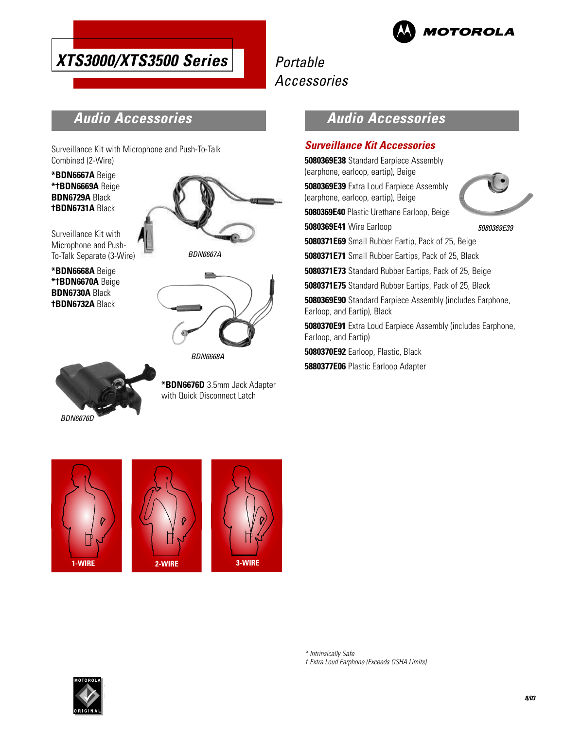

# Portable Accessories

## **Audio Accessories**

Surveillance Kit with Microphone and Push-To-Talk Combined (2-Wire)

**\*BDN6667A** Beige **\*†BDN6669A** Beige **BDN6729A** Black **†BDN6731A** Black

Surveillance Kit with Microphone and Push-To-Talk Separate (3-Wire)

**\*BDN6668A** Beige **\*†BDN6670A** Beige **BDN6730A** Black **†BDN6732A** Black





BDN6668A



**\*BDN6676D** 3.5mm Jack Adapter with Quick Disconnect Latch

## **Audio Accessories**

#### **Surveillance Kit Accessories**

**5080369E38** Standard Earpiece Assembly (earphone, earloop, eartip), Beige

**5080369E39** Extra Loud Earpiece Assembly (earphone, earloop, eartip), Beige

**5080369E40** Plastic Urethane Earloop, Beige

**5080369E41** Wire Earloop



5080369E39

**5080371E69** Small Rubber Eartip, Pack of 25, Beige

**5080371E71** Small Rubber Eartips, Pack of 25, Black

**5080371E73** Standard Rubber Eartips, Pack of 25, Beige

**5080371E75** Standard Rubber Eartips, Pack of 25, Black

**5080369E90** Standard Earpiece Assembly (includes Earphone, Earloop, and Eartip), Black

**5080370E91** Extra Loud Earpiece Assembly (includes Earphone, Earloop, and Eartip)

**5080370E92** Earloop, Plastic, Black

**5880377E06** Plastic Earloop Adapter





\* Intrinsically Safe

† Extra Loud Earphone (Exceeds OSHA Limits)

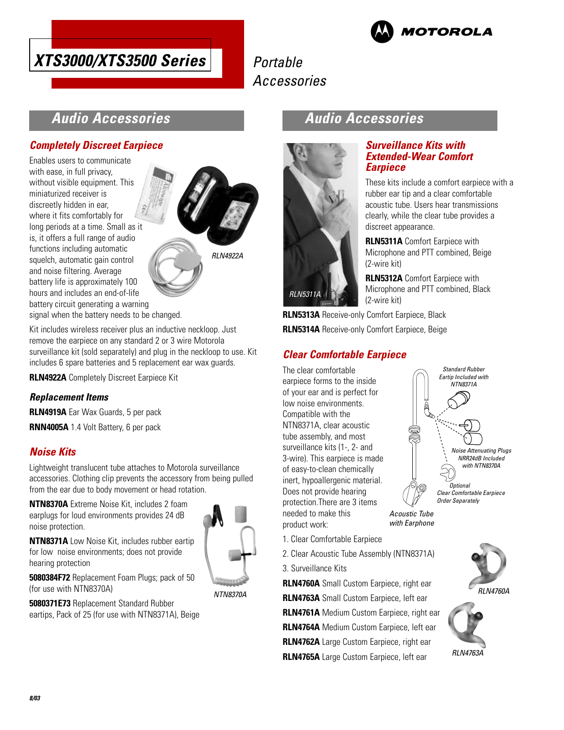



## **Audio Accessories**

#### **Completely Discreet Earpiece**

Enables users to communicate with ease, in full privacy, without visible equipment. This miniaturized receiver is discreetly hidden in ear, where it fits comfortably for long periods at a time. Small as it is, it offers a full range of audio functions including automatic squelch, automatic gain control and noise filtering. Average battery life is approximately 100 hours and includes an end-of-life battery circuit generating a warning



signal when the battery needs to be changed.

Kit includes wireless receiver plus an inductive neckloop. Just remove the earpiece on any standard 2 or 3 wire Motorola surveillance kit (sold separately) and plug in the neckloop to use. Kit includes 6 spare batteries and 5 replacement ear wax guards.

**RLN4922A** Completely Discreet Earpiece Kit

#### **Replacement Items**

**RLN4919A** Ear Wax Guards, 5 per pack **RNN4005A** 1.4 Volt Battery, 6 per pack

#### **Noise Kits**

Lightweight translucent tube attaches to Motorola surveillance accessories. Clothing clip prevents the accessory from being pulled from the ear due to body movement or head rotation.

**NTN8370A** Extreme Noise Kit, includes 2 foam earplugs for loud environments provides 24 dB noise protection.

**NTN8371A** Low Noise Kit, includes rubber eartip for low noise environments; does not provide hearing protection



**5080384F72** Replacement Foam Plugs; pack of 50 (for use with NTN8370A)

**5080371E73** Replacement Standard Rubber eartips, Pack of 25 (for use with NTN8371A), Beige

### **Audio Accessories**



#### **Surveillance Kits with Extended-Wear Comfort Earpiece**

These kits include a comfort earpiece with a rubber ear tip and a clear comfortable acoustic tube. Users hear transmissions clearly, while the clear tube provides a discreet appearance.

**RLN5311A** Comfort Earpiece with Microphone and PTT combined, Beige (2-wire kit)

**RLN5312A** Comfort Earpiece with Microphone and PTT combined, Black (2-wire kit)

**RLN5313A** Receive-only Comfort Earpiece, Black **RLN5314A** Receive-only Comfort Earpiece, Beige

## **Clear Comfortable Earpiece**

The clear comfortable earpiece forms to the inside of your ear and is perfect for low noise environments. Compatible with the NTN8371A, clear acoustic tube assembly, and most surveillance kits (1-, 2- and 3-wire). This earpiece is made of easy-to-clean chemically inert, hypoallergenic material. Does not provide hearing protection.There are 3 items needed to make this product work:



2. Clear Acoustic Tube Assembly (NTN8371A)

3. Surveillance Kits

**RLN4760A** Small Custom Earpiece, right ear **RLN4763A** Small Custom Earpiece, left ear **RLN4761A** Medium Custom Earpiece, right ear **RLN4764A** Medium Custom Earpiece, left ear **RLN4762A** Large Custom Earpiece, right ear **RLN4765A** Large Custom Earpiece, left ear



Order Separately

Acoustic Tube) with Earphone



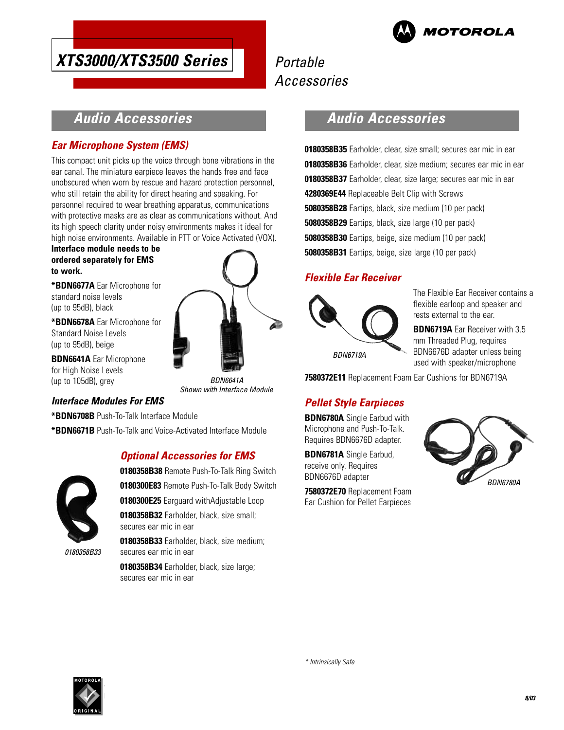

# Portable Accessories

## **Audio Accessories**

#### **Ear Microphone System (EMS)**

This compact unit picks up the voice through bone vibrations in the ear canal. The miniature earpiece leaves the hands free and face unobscured when worn by rescue and hazard protection personnel, who still retain the ability for direct hearing and speaking. For personnel required to wear breathing apparatus, communications with protective masks are as clear as communications without. And its high speech clarity under noisy environments makes it ideal for high noise environments. Available in PTT or Voice Activated (VOX).

#### **Interface module needs to be ordered separately for EMS to work.**

**\*BDN6677A** Ear Microphone for standard noise levels (up to 95dB), black

**\*BDN6678A** Ear Microphone for Standard Noise Levels (up to 95dB), beige

**BDN6641A** Ear Microphone for High Noise Levels (up to 105dB), grey

BDN6641A Shown with Interface Module

#### **Interface Modules For EMS**

**\*BDN6708B** Push-To-Talk Interface Module

**\*BDN6671B** Push-To-Talk and Voice-Activated Interface Module

#### **Optional Accessories for EMS**



**0180358B38** Remote Push-To-Talk Ring Switch **0180300E83** Remote Push-To-Talk Body Switch **0180300E25** Earguard withAdjustable Loop **0180358B32** Earholder, black, size small; secures ear mic in ear **0180358B33** Earholder, black, size medium; secures ear mic in ear

**0180358B34** Earholder, black, size large; secures ear mic in ear

## **Audio Accessories**

**0180358B35** Earholder, clear, size small; secures ear mic in ear **0180358B36** Earholder, clear, size medium; secures ear mic in ear **0180358B37** Earholder, clear, size large; secures ear mic in ear **4280369E44** Replaceable Belt Clip with Screws **5080358B28** Eartips, black, size medium (10 per pack) **5080358B29** Eartips, black, size large (10 per pack) **5080358B30** Eartips, beige, size medium (10 per pack) **5080358B31** Eartips, beige, size large (10 per pack)

#### **Flexible Ear Receiver**



The Flexible Ear Receiver contains a flexible earloop and speaker and rests external to the ear.

**BDN6719A** Ear Receiver with 3.5 mm Threaded Plug, requires BDN6676D adapter unless being used with speaker/microphone

**7580372E11** Replacement Foam Ear Cushions for BDN6719A

### **Pellet Style Earpieces**

**BDN6780A** Single Earbud with Microphone and Push-To-Talk. Requires BDN6676D adapter.

**BDN6781A** Single Earbud, receive only. Requires BDN6676D adapter

**7580372E70** Replacement Foam Ear Cushion for Pellet Earpieces



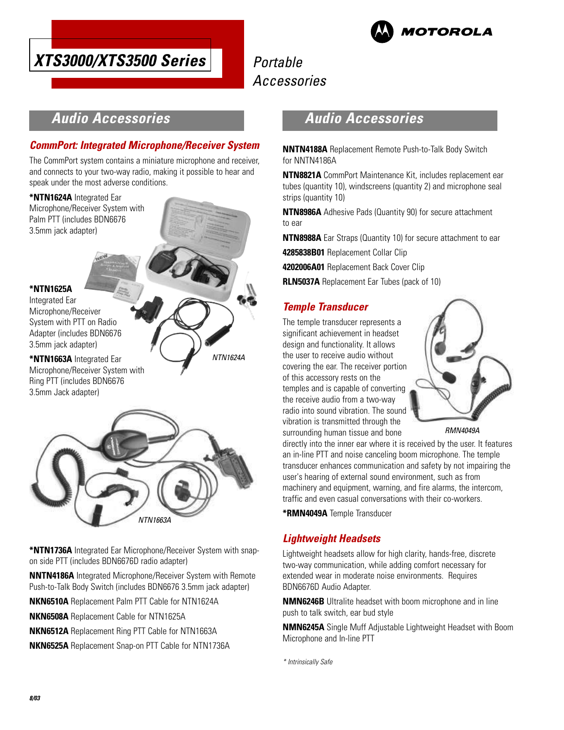



## **Audio Accessories**

#### **CommPort: Integrated Microphone/Receiver System**

The CommPort system contains a miniature microphone and receiver, and connects to your two-way radio, making it possible to hear and speak under the most adverse conditions.

#### **\*NTN1624A** Integrated Ear

Microphone/Receiver System with Palm PTT (includes BDN6676 3.5mm jack adapter)

#### **\*NTN1625A**

Integrated Ear Microphone/Receiver System with PTT on Radio Adapter (includes BDN6676 3.5mm jack adapter)

**\*NTN1663A** Integrated Ear Microphone/Receiver System with Ring PTT (includes BDN6676 3.5mm Jack adapter)



NTN1624A

**\*NTN1736A** Integrated Ear Microphone/Receiver System with snapon side PTT (includes BDN6676D radio adapter)

**NNTN4186A** Integrated Microphone/Receiver System with Remote Push-to-Talk Body Switch (includes BDN6676 3.5mm jack adapter)

**NKN6510A** Replacement Palm PTT Cable for NTN1624A

**NKN6508A** Replacement Cable for NTN1625A

**NKN6512A** Replacement Ring PTT Cable for NTN1663A

**NKN6525A** Replacement Snap-on PTT Cable for NTN1736A

## **Audio Accessories**

**NNTN4188A** Replacement Remote Push-to-Talk Body Switch for NNTN4186A

**NTN8821A** CommPort Maintenance Kit, includes replacement ear tubes (quantity 10), windscreens (quantity 2) and microphone seal strips (quantity 10)

**NTN8986A** Adhesive Pads (Quantity 90) for secure attachment to ear

**NTN8988A** Ear Straps (Quantity 10) for secure attachment to ear

**4285838B01** Replacement Collar Clip

**4202006A01** Replacement Back Cover Clip

**RLN5037A** Replacement Ear Tubes (pack of 10)

#### **Temple Transducer**

The temple transducer represents a significant achievement in headset design and functionality. It allows the user to receive audio without covering the ear. The receiver portion of this accessory rests on the temples and is capable of converting the receive audio from a two-way radio into sound vibration. The sound vibration is transmitted through the surrounding human tissue and bone



RMN4049A

directly into the inner ear where it is received by the user. It features an in-line PTT and noise canceling boom microphone. The temple transducer enhances communication and safety by not impairing the user's hearing of external sound environment, such as from machinery and equipment, warning, and fire alarms, the intercom, traffic and even casual conversations with their co-workers.

**\*RMN4049A** Temple Transducer

### **Lightweight Headsets**

Lightweight headsets allow for high clarity, hands-free, discrete two-way communication, while adding comfort necessary for extended wear in moderate noise environments. Requires BDN6676D Audio Adapter.

**NMN6246B** Ultralite headset with boom microphone and in line push to talk switch, ear bud style

**NMN6245A** Single Muff Adjustable Lightweight Headset with Boom Microphone and In-line PTT

\* Intrinsically Safe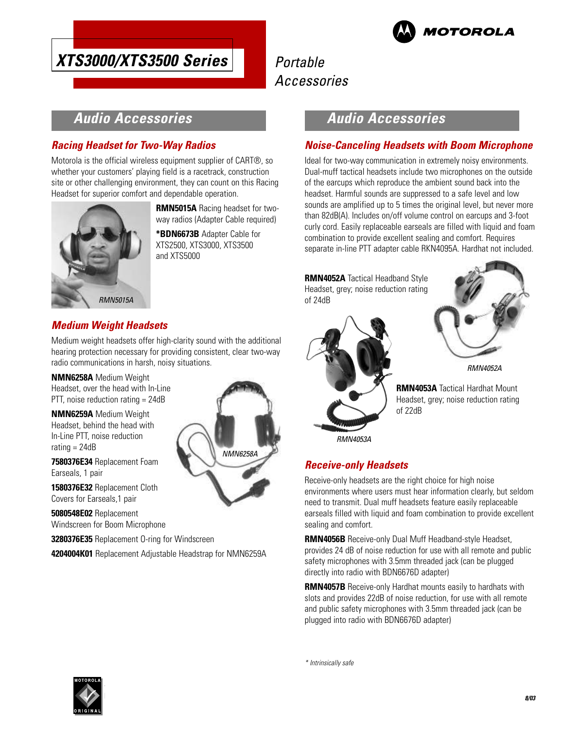

# Portable Accessories

## **Audio Accessories**

### **Racing Headset for Two-Way Radios**

Motorola is the official wireless equipment supplier of CART®, so whether your customers' playing field is a racetrack, construction site or other challenging environment, they can count on this Racing Headset for superior comfort and dependable operation.



**RMN5015A** Racing headset for twoway radios (Adapter Cable required)

**\*BDN6673B** Adapter Cable for XTS2500, XTS3000, XTS3500 and XTS5000

## **Medium Weight Headsets**

Medium weight headsets offer high-clarity sound with the additional hearing protection necessary for providing consistent, clear two-way radio communications in harsh, noisy situations.

**NMN6258A** Medium Weight Headset, over the head with In-Line PTT, noise reduction rating = 24dB

**NMN6259A** Medium Weight Headset, behind the head with In-Line PTT, noise reduction rating = 24dB

**7580376E34** Replacement Foam Earseals, 1 pair

**1580376E32** Replacement Cloth Covers for Earseals,1 pair

**5080548E02** Replacement Windscreen for Boom Microphone

**3280376E35** Replacement O-ring for Windscreen

**4204004K01** Replacement Adjustable Headstrap for NMN6259A



## **Audio Accessories**

#### **Noise-Canceling Headsets with Boom Microphone**

Ideal for two-way communication in extremely noisy environments. Dual-muff tactical headsets include two microphones on the outside of the earcups which reproduce the ambient sound back into the headset. Harmful sounds are suppressed to a safe level and low sounds are amplified up to 5 times the original level, but never more than 82dB(A). Includes on/off volume control on earcups and 3-foot curly cord. Easily replaceable earseals are filled with liquid and foam combination to provide excellent sealing and comfort. Requires separate in-line PTT adapter cable RKN4095A. Hardhat not included.

**RMN4052A** Tactical Headband Style Headset, grey; noise reduction rating of 24dB





RMN4052A

**RMN4053A** Tactical Hardhat Mount Headset, grey; noise reduction rating of 22dB

RMN4053A

#### **Receive-only Headsets**

Receive-only headsets are the right choice for high noise environments where users must hear information clearly, but seldom need to transmit. Dual muff headsets feature easily replaceable earseals filled with liquid and foam combination to provide excellent sealing and comfort.

**RMN4056B** Receive-only Dual Muff Headband-style Headset, provides 24 dB of noise reduction for use with all remote and public safety microphones with 3.5mm threaded jack (can be plugged directly into radio with BDN6676D adapter)

**RMN4057B** Receive-only Hardhat mounts easily to hardhats with slots and provides 22dB of noise reduction, for use with all remote and public safety microphones with 3.5mm threaded jack (can be plugged into radio with BDN6676D adapter)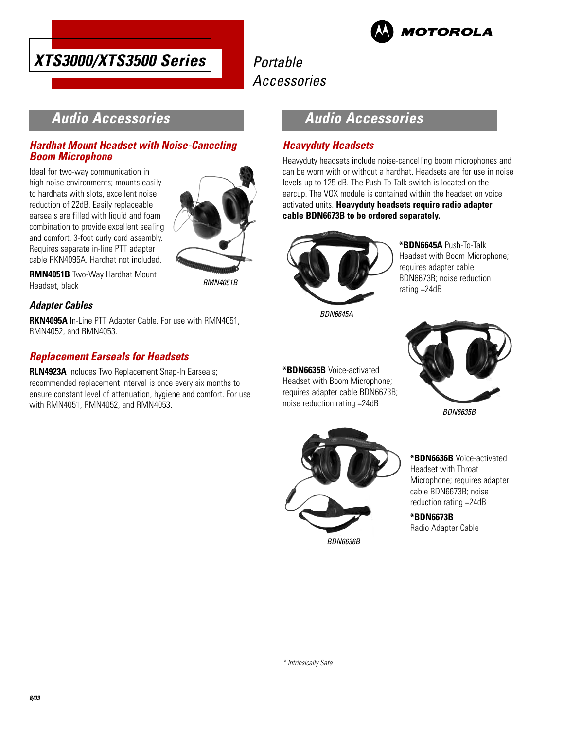



## **Audio Accessories**

#### **Hardhat Mount Headset with Noise-Canceling Boom Microphone**

Ideal for two-way communication in high-noise environments; mounts easily to hardhats with slots, excellent noise reduction of 22dB. Easily replaceable earseals are filled with liquid and foam combination to provide excellent sealing and comfort. 3-foot curly cord assembly. Requires separate in-line PTT adapter cable RKN4095A. Hardhat not included.



**RMN4051B** Two-Way Hardhat Mount Headset, black

RMN4051B

#### **Adapter Cables**

**RKN4095A** In-Line PTT Adapter Cable. For use with RMN4051, RMN4052, and RMN4053.

#### **Replacement Earseals for Headsets**

**RLN4923A** Includes Two Replacement Snap-In Earseals; recommended replacement interval is once every six months to ensure constant level of attenuation, hygiene and comfort. For use with RMN4051, RMN4052, and RMN4053.

## **Audio Accessories**

#### **Heavyduty Headsets**

Heavyduty headsets include noise-cancelling boom microphones and can be worn with or without a hardhat. Headsets are for use in noise levels up to 125 dB. The Push-To-Talk switch is located on the earcup. The VOX module is contained within the headset on voice activated units. **Heavyduty headsets require radio adapter cable BDN6673B to be ordered separately.**



**\*BDN6645A** Push-To-Talk Headset with Boom Microphone; requires adapter cable BDN6673B; noise reduction rating =24dB

BDN6645A

**\*BDN6635B** Voice-activated Headset with Boom Microphone; requires adapter cable BDN6673B; noise reduction rating =24dB



BDN6635B



**\*BDN6636B** Voice-activated Headset with Throat Microphone; requires adapter cable BDN6673B; noise reduction rating =24dB

**\*BDN6673B** Radio Adapter Cable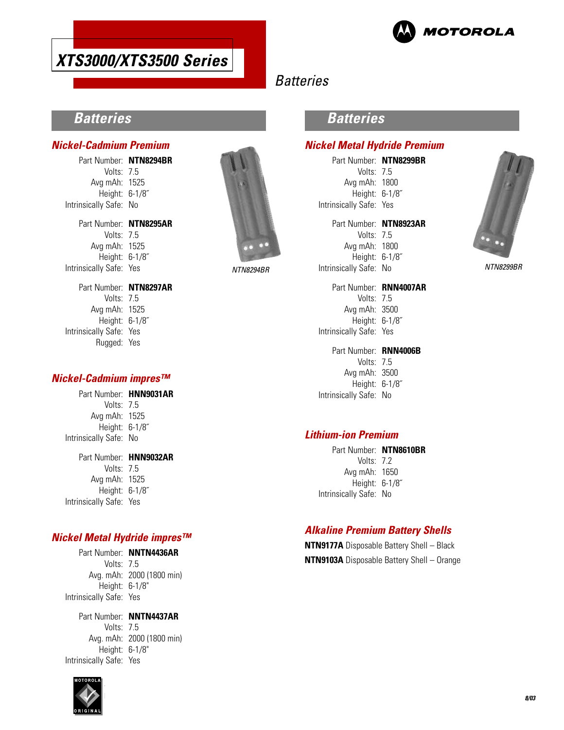

## **Batteries**

## **Batteries**

#### **Nickel-Cadmium Premium**

Part Number: **NTN8294BR** Volts: 7.5 Avg mAh: 1525 Height: 6-1/8˝ Intrinsically Safe: No Part Number: **NTN8295AR** Volts: 7.5 Avg mAh: 1525 Height: 6-1/8˝ Intrinsically Safe: Yes Part Number: **NTN8297AR** Volts: 7.5 Avg mAh: 1525 Height: 6-1/8˝



### **Batteries**

#### **Nickel Metal Hydride Premium**

Part Number: **NTN8299BR** Volts: 7.5 Avg mAh: 1800 Height: 6-1/8˝ Intrinsically Safe: Yes

Part Number: **NTN8923AR** Volts: 7.5 Avg mAh: 1800 Height: 6-1/8˝ Intrinsically Safe: No NTN8294BR NTN8299BR

Part Number: **RNN4007AR** Volts: 7.5 Avg mAh: 3500 Height: 6-1/8˝ Intrinsically Safe: Yes

Part Number: **RNN4006B** Volts: 7.5 Avg mAh: 3500 Height: 6-1/8˝ Intrinsically Safe: No

#### **Lithium-ion Premium**

Part Number: **NTN8610BR** Volts: 7.2 Avg mAh: 1650 Height: 6-1/8˝ Intrinsically Safe: No

### **Alkaline Premium Battery Shells**

**NTN9177A** Disposable Battery Shell – Black **NTN9103A** Disposable Battery Shell – Orange



#### **Nickel-Cadmium impres™**

Rugged: Yes

Intrinsically Safe: Yes

#### Part Number: **HNN9031AR** Volts: 7.5

Avg mAh: 1525 Height: 6-1/8˝ Intrinsically Safe: No

Part Number: **HNN9032AR** Volts: 7.5 Avg mAh: 1525 Height: 6-1/8˝ Intrinsically Safe: Yes

#### **Nickel Metal Hydride impres™**

Part Number: **NNTN4436AR** Volts: 7.5 Avg. mAh: 2000 (1800 min) Height: 6-1/8" Intrinsically Safe: Yes

Part Number: **NNTN4437AR** Volts: 7.5 Avg. mAh: 2000 (1800 min) Height: 6-1/8" Intrinsically Safe: Yes

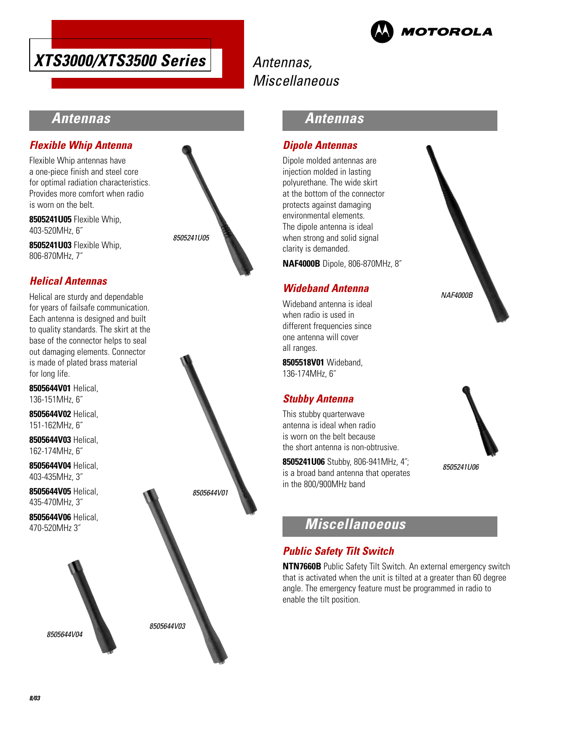





## **Antennas**

#### **Flexible Whip Antenna**

Flexible Whip antennas have a one-piece finish and steel core for optimal radiation characteristics. Provides more comfort when radio is worn on the belt.

**8505241U05** Flexible Whip, 403-520MHz, 6˝

**8505241U03** Flexible Whip, 806-870MHz, 7˝

#### **Helical Antennas**

Helical are sturdy and dependable for years of failsafe communication. Each antenna is designed and built to quality standards. The skirt at the base of the connector helps to seal out damaging elements. Connector is made of plated brass material for long life.

**8505644V01** Helical, 136-151MHz, 6˝

**8505644V02** Helical, 151-162MHz, 6˝

**8505644V03** Helical, 162-174MHz, 6˝

**8505644V04** Helical, 403-435MHz, 3˝

**8505644V05** Helical, 435-470MHz, 3˝

**8505644V06** Helical, 470-520MHz 3˝







### **Antennas**

#### **Dipole Antennas**

Dipole molded antennas are injection molded in lasting polyurethane. The wide skirt at the bottom of the connector protects against damaging environmental elements. The dipole antenna is ideal when strong and solid signal clarity is demanded.

**NAF4000B** Dipole, 806-870MHz, 8˝

#### **Wideband Antenna**

Wideband antenna is ideal when radio is used in different frequencies since one antenna will cover all ranges.

**8505518V01** Wideband, 136-174MHz, 6˝

#### **Stubby Antenna**

This stubby quarterwave antenna is ideal when radio is worn on the belt because the short antenna is non-obtrusive.

**8505241U06** Stubby, 806-941MHz, 4˝; is a broad band antenna that operates in the 800/900MHz band

## **Miscellanoeous**

#### **Public Safety Tilt Switch**

**NTN7660B** Public Safety Tilt Switch. An external emergency switch that is activated when the unit is tilted at a greater than 60 degree angle. The emergency feature must be programmed in radio to enable the tilt position.





8505241U06